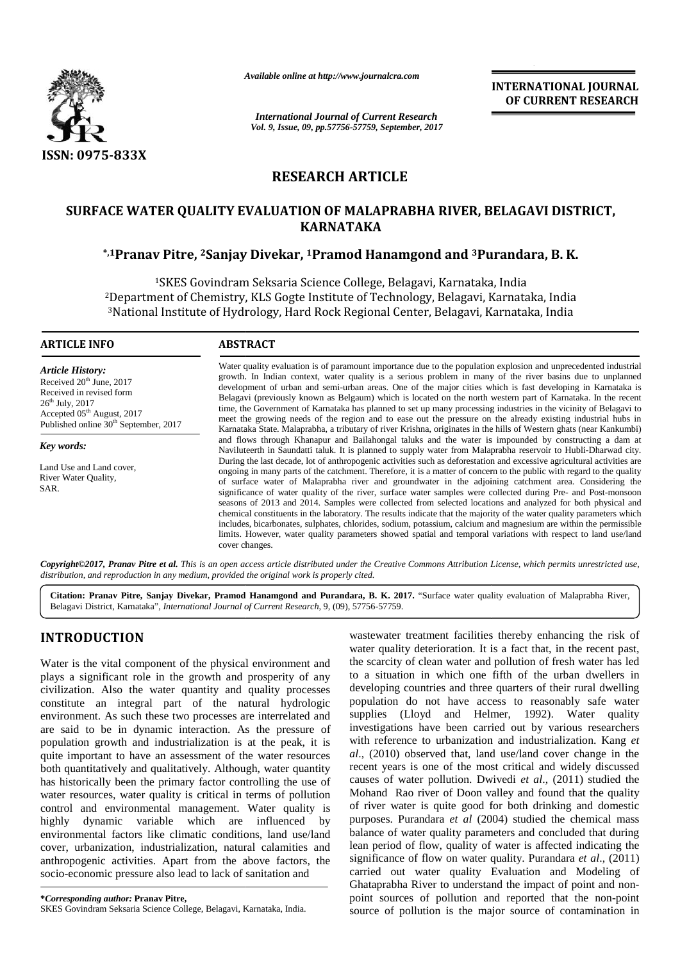

*Available online at http://www.journalcra.com*

*International Journal of Current Research Vol. 9, Issue, 09, pp.57756-57759, September, 2017* **INTERNATIONAL JOURNAL OF CURRENT RESEARCH**

# **RESEARCH ARTICLE**

# **SURFACE WATER QUALITY EVALUATION OF MALAPRABHA RIVER, BELAGAVI DISTRICT, KARNATAKA**

# **\*,1Pranav Pitre, <sup>2</sup>Sanjay Divekar, <sup>1</sup>Pramod Hanamgond and <sup>3</sup>Purandara, B. K. 2Hanamgond andB.**

<sup>1</sup>SKES Govindram Seksaria Science College, Belagavi, Karnataka, India <sup>1</sup>SKES Govindram Seksaria Science College, Belagavi, Karnataka, India<br>2Department of Chemistry, KLS Gogte Institute of Technology, Belagavi, Karnataka, India <sup>3</sup>National Institute of Hydrology, Hard Rock Regional Center, Belagavi, Karnataka, India 3National Institute

#### **ARTICLE INFO**

*Article History:* Received  $20<sup>th</sup>$  June,  $2017$ Received in revised form  $26^{th}$  July,  $2017$ Accepted 05<sup>th</sup> August, 2017 Published online 30<sup>th</sup> September, 2017

*Key words:*

Land Use and Land cover, River Water Quality, SAR.

Water quality evaluation is of paramount importance due to the population explosion and unprecedented industrial growth. In Indian context, water quality is a serious problem in many of the river basins due to unplanned development of urban and semi-urban areas. One of the major cities which is fast developing in Karnataka is Belagavi (previously known as Belgaum) which is located on the north western part of Karnataka. In the recent time, the Government of Karnataka has planned to set up many processing industries in the vicinity of Belagavi to meet the growing needs of the region and to ease out the pressure on the already existing industrial hubs in Karnataka State. Malaprabha, a tributary of river Krishna, originates in the hills of Western ghats (near Kankumbi) and flows through Khanapur and Bailahongal taluks and the water is impounded by constructing a dam at Naviluteerth in Saundatti taluk. It is planned to supply water from Malaprabha reservoir to Hubli-Dharwad city. During the last decade, lot of anthropogenic activities such as deforestation and excessive agricultural activities are ongoing in many parts of the catchment. Therefore, it is a matter of concern to the public with regard to the quality of surface water of Malaprabha river and groundwater in the adjoining catchment area. Considering the significance of water quality of the river, surface water samples were collected during Pre- and Post-monsoon seasons of 2013 and 2014. Samples were collected from selected locations and analyzed for both physical and chemical constituents in the laboratory. The results indicate that the majority of the water quality parameters which includes, bicarbonates, sulphates, chlorides, sodium, potassium, calcium and magnesium are within the permissible limits. However, water quality parameters showed spatial and temporal variations with respect to land use/land cover changes. Water quality evaluation is of paramount importance due to the population explosion and unprecedented industrial growth. In Indian context, water quality is a serious problem in many of the river basins due to unplanned de From the Hanam Computer of Hermitery, KLS Gogle Institute of Fechnology, Belagavi, Karnataka, India<br> **ARTICLE INFO**<br> **HARAMGONE ARET CONFIGUE INTO THE CONFIGUE INTO THE CONFIGUE INTO THE CONFIGUE INTO THE CONFIGUE INTO THE** 

**Copyright©2017, Pranav Pitre et al.** This is an open access article distributed under the Creative Commons Attribution License, which permits unrestricted use,<br>distribution, and reproduction in any medium, provided the or *distribution, and reproduction in any medium, provided the original work is properly cited.*

**Citation: Pranav Pitre, Sanjay Divekar, Pramod Hanamgond and Purandara, B. K. 2017.** "Surface water quality evaluation of Malaprabha River, Belagavi District, Karnataka", *International Journal of Current Research*, 9, (09), 57756-57759.

# **INTRODUCTION INTRODUCTION**

Water is the vital component of the physical environment and plays a significant role in the growth and prosperity of any civilization. Also the water quantity and quality processes constitute an integral part of the natural hydrologic environment. As such these two processes are interrelated and are said to be in dynamic interaction. As the pressure of population growth and industrialization is at the peak, it is quite important to have an assessment of the water resources both quantitatively and qualitatively. Although, water quantity has historically been the primary factor controlling the use of water resources, water quality is critical in terms of pollution control and environmental management. Water quality is highly dynamic variable which are influenced by environmental factors like climatic conditions, land use/land cover, urbanization, industrialization, natural calamities and anthropogenic activities. Apart from the above factors, the socio-economic pressure also lead to lack of sanitation and Water is the vital component of the physical environment and<br>plays a significant role in the growth and prosperity of any<br>constitute an integral part of the natural hydrologic pop<br>environment. As such these two processes

wastewater treatment facilities thereby enhancing the risk of water quality deterioration. It is a fact that, in the recent past, the scarcity of clean water and pollution of fresh water has led to a situation in which one fifth of the urban dwellers in developing countries and three quarters of their rural dwelling population do not have access to reasonably safe water supplies (Lloyd and Helmer, 1992). Water quality investigations have been carried out by various researchers with reference to urbanization and industrialization. Kang *et al*., (2010) observed that, land use/land cover change in the recent years is one of the most critical and widely discussed causes of water pollution. Dwivedi *et al*., (2011) studied the Mohand Rao river of Doon valley and found that the quality of river water is quite good for both drinking and domestic purposes. Purandara *et al* (2004) studied the chemical mass balance of water quality parameters and concluded that during lean period of flow, quality of water is affected indicating the significance of flow on water quality. Purandara *et al*., (2011) carried out water quality Evaluation and Modeling of Ghataprabha River to understand the impact of point and non point sources of pollution and reported that the non-point source of pollution is the major source of contamination in **INTRODUCTION**<br>
water undity deteriorant facilities thereby enhancing the risk of<br>
water undity deterioration. It is a fact that, in the recent past,<br>
Water is the viral component of the growth and prospective of the scar stigations have been carried out by various researchers<br>a reference to urbanization and industrialization. Kang *et*<br>(2010) observed that, land use/land cover change in the<br>nt years is one of the most critical and widely **EXERCISE THE MANUSE CONSULTER AND INTERNATIONAL INTERNATIONAL INTERNATIONAL CONSULTER CONTINUES.**<br>
SERVICE SURFACE WATER QUALITY EVALUATION CONTINUES.<br>
SINCE OF THE SERVICE SURFACE WATER QUALITY EVALUATION CONTINUES.<br>
SI which one fif<br>
is and three q<br>
have acces<br>
and Helme<br>
been carried<br>
been carried<br>
been carried<br>
per carried<br>
dentical dentity<br>
of Doon vall<br>
uite good for<br>
a *et al* (2004<br>
ality paramet<br>
, quality of w<br>
y on water qu<br>
qu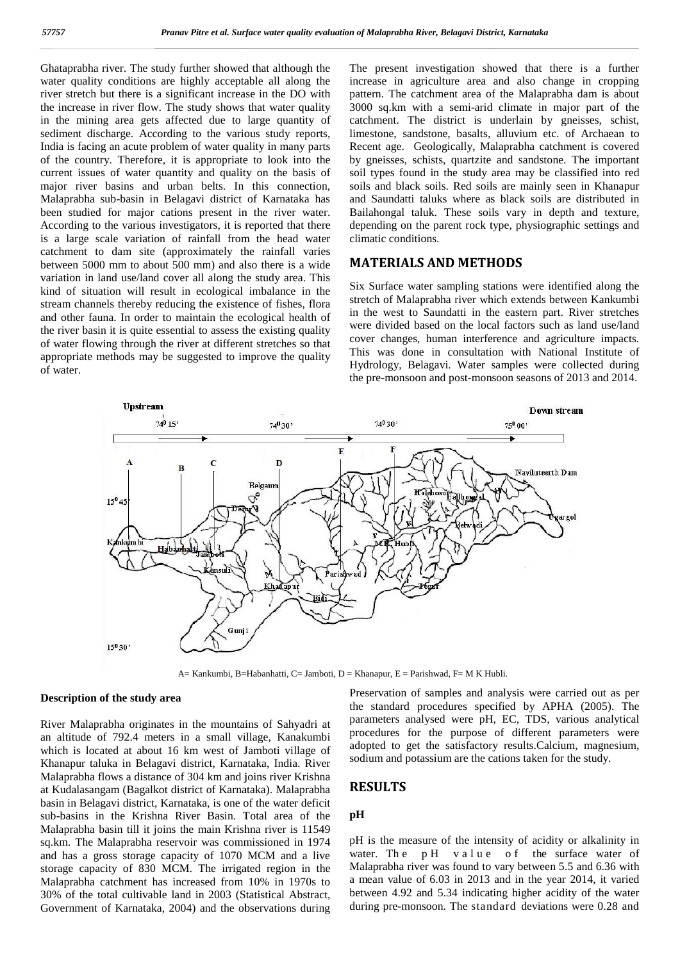Ghataprabha river. The study further showed that although the water quality conditions are highly acceptable all along the river stretch but there is a significant increase in the DO with the increase in river flow. The study shows that water quality in the mining area gets affected due to large quantity of sediment discharge. According to the various study reports, India is facing an acute problem of water quality in many parts of the country. Therefore, it is appropriate to look into the current issues of water quantity and quality on the basis of major river basins and urban belts. In this connection, Malaprabha sub-basin in Belagavi district of Karnataka has been studied for major cations present in the river water. According to the various investigators, it is reported that there dep is a large scale variation of rainfall from the head water catchment to dam site (approximately the rainfall varies<br>between 5000 mm to about 500 mm) and also there is a wide  $\overline{M}$ .<br>variation in land use/land cover all along the study area. This between 5000 mm to about 500 mm) and also there is a wide variation in land use/land cover all along the study area. This kind of situation will result in ecological imbalance in the stream channels thereby reducing the existence of fishes, flora and other fauna. In order to maintain the ecological health of the river basin it is quite essential to assess the existing quality were of water flowing through the river at different stretches so that appropriate methods may be suggested to improve the quality of water. Ghataprabha river. The study further showed that although the<br>water quality conditions are highly acceptable all along the<br>inver stretch but there is a significant increase in the DO with<br>the increase in river flow. The st been studied for major cations present in the river water. B<br>According to the various investigators, it is reported that there de<br>is a large scale variation of rainfall from the head water cl kind of situation will result in ecological imbalance in the stream channels thereby reducing the existence of fishes, flora and other fauna. In order to maintain the ecological health of the river basin it is quite essent

The present investigation showed that there is a further increase in agriculture area and also change in cropping pattern. The catchment area of the Malaprabha dam is about 3000 sq.km with a semi-arid climate in major part of the catchment. The district is underlain by gneisses, schist, limestone, sandstone, basalts, alluvium etc. of Archaean to Recent age. Geologically, Malaprabha catchment is covered by gneisses, schists, quartzite and sandstone. The important soil types found in the study area may be classified into red soils and black soils. Red soils are mainly seen in Khanapur and Saundatti taluks where as black soils are distributed in Bailahongal taluk. These soils vary in depth and texture, depending on the parent rock type, physiographic settings and climatic conditions.

## **MATERIALS AND METHODS**

Six Surface water sampling stations were identified along the stretch of Malaprabha river which extends between Kankumbi in the west to Saundatti in the eastern part. River stretches were divided based on the local factors such as land use/land cover changes, human interference and agriculture impacts. This was done in consultation with National Institute of Hydrology, Belagavi. Water samples were collected during the pre-monsoon and post-monsoon seasons of 2013 and 2014.



A= Kankumbi, B=Habanhatti, C= Jamboti, D = Khanapur, E = Parishwad, F= M K Hubli.

#### **Description of the study area Description**

River Malaprabha originates in the mountains of Sahyadri at an altitude of 792.4 meters in a small village, Kanakumbi which is located at about 16 km west of Jamboti village of <sup>at</sup> Khanapur taluka in Belagavi district, Karnataka, India. River Malaprabha flows a distance of 304 km and joins river Krishna at Kudalasangam (Bagalkot district of Karnataka). Malaprabha Malaprabha flows a distance of 304 km and joins river Krishna<br>at Kudalasangam (Bagalkot district of Karnataka). Malaprabha<br>basin in Belagavi district, Karnataka, is one of the water deficit sub-basins in the Krishna River Basin. Total area of the Malaprabha basin till it joins the main Krishna river is 11549 sq.km. The Malaprabha reservoir was commissioned in 1974 pH is the measure of the intensity of acidity or alkalinity in and has a gross storage capacity of 1070 MCM and a live water. The pH value of the surface water of and has a gross storage capacity of 1070 MCM and a live storage capacity of 830 MCM. The irrigated region in the Malaprabha catchment has increased from 10% in 1970s to 30% of the total cultivable land in 2003 (Statistical Abstract, Government of Karnataka, 2004) and the observations during River Malaprabha originates in the mountains of Sahyadri at<br>an altitude of 792.4 meters in a small village, Kanakumbi<br>which is located at about 16 km west of Jamboti village of<br>Khanapur taluka in Belagavi district, Karnata

Preservation of samples and analysis were carried out as per the standard procedures specified by APHA (2005). The parameters analysed were pH, EC, TDS, various analytical procedures for the purpose of different parameters were adopted to get the satisfactory results.Calcium, magnesium, sodium and potassium are the cations taken for the study.

# **RESULTS**

#### **pH**

pH is the measure of the intensity of acidity or alkalinity in **RESULTS**<br>
pH is the measure of the intensity of acidity or alkalinity in<br>
water. The pH v a l u e of the surface water of<br>
Malaprabha river was found to vary between 5.5 and 6.36 with a mean value of 6.03 in 2013 and in the year 2014, it varied between 4.92 and 5.34 indicating higher acidity of the water during pre-monsoon. The standard deviations were 0.28 and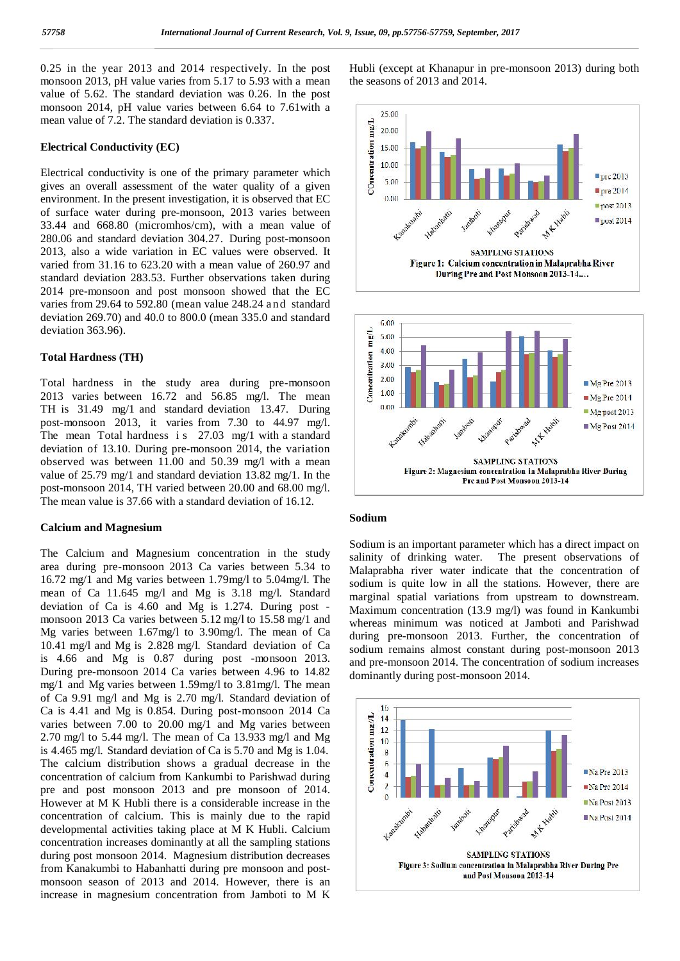0.25 in the year 2013 and 2014 respectively. In the post monsoon 2013, pH value varies from 5.17 to 5.93 with a mean value of 5.62. The standard deviation was 0.26. In the post monsoon 2014, pH value varies between 6.64 to 7.61with a mean value of 7.2. The standard deviation is 0.337.

#### **Electrical Conductivity (EC)**

mean value of 7.2. The standard deviation is 0.337.<br> **Electrical Conductivity (EC)**<br>
Electrical conductivity is one of the primary parameter which<br>
gives an overall assessment of the water quality of a given gives an overall assessment of the water quality of a given environment. In the present investigation, it is observed that EC  $\qquad \qquad \circ \quad \circ \quad$ of surface water during pre-monsoon, 2013 varies between 33.44 and 668.80 (micromhos/cm), with a mean value of 280.06 and standard deviation 304.27. During post-monsoon 2013, also a wide variation in EC values were observed. It varied from 31.16 to 623.20 with a mean value of 260.97 and standard deviation 283.53. Further observations taken during 2014 pre-monsoon and post monsoon showed that the EC 280.06 and standard deviation 304.27. During post-monsoon 2013, also a wide variation in EC values were observed. It varied from 31.16 to 623.20 with a mean value of 260.97 and standard deviation 283.53. Further observati deviation 269.70) and 40.0 to 800.0 (mean 335.0 and standard deviation 363.96).

#### **Total Hardness (TH)**

Total hardness in the study area during pre-monsoon | § Total Hardness (TH)<br>
Total hardness in the study area during pre-monsoon<br>
2013 varies between 16.72 and 56.85 mg/l. The mean TH is 31.49 mg/1 and standard deviation 13.47. During post-monsoon 2013, it varies from 7.30 to 44.97 mg/l. Total hardness in the study area during pre-monsoon<br>
2013 varies between 16.72 and 56.85 mg/l. The mean<br>
TH is 31.49 mg/1 and standard deviation 13.47. During<br>
post-monsoon 2013, it varies from 7.30 to 44.97 mg/l.<br>
The me deviation of 13.10. During pre-monsoon 2014, the variation observed was between 11.00 and 50.39 mg/l with a mean value of 25.79 mg/1 and standard deviation 13.82 mg/1. In the post-monsoon 2014, TH varied between 20.00 and 68.00 mg/l. The mean value is 37.66 with a standard deviation of 16.12.

#### **Calcium and Magnesium**

The Calcium and Magnesium concentration in the study area during pre-monsoon 2013 Ca varies between 5.34 to 16.72 mg/1 and Mg varies between 1.79mg/l to 5.04mg/l. The mean of Ca 11.645 mg/l and Mg is 3.18 mg/l. Standard deviation of Ca is 4.60 and Mg is 1.274. During post monsoon 2013 Ca varies between 5.12 mg/l to 15.58 mg/1 and Mg varies between 1.67mg/l to 3.90mg/l. The mean of Ca 10.41 mg/l and Mg is 2.828 mg/l. Standard deviation of Ca is 4.66 and Mg is 0.87 during post -monsoon 2013. During pre-monsoon 2014 Ca varies between 4.96 to 14.82 mg/1 and Mg varies between 1.59mg/l to 3.81mg/l. The mean of Ca 9.91 mg/l and Mg is 2.70 mg/l. Standard deviation of Ca is 4.41 and Mg is 0.854. During post-monsoon 2014 Ca<br>varies between 7.00 to 20.00 mg/1 and Mg varies between<br>2.70 mg/l to 5.44 mg/l. The mean of Ca 13.933 mg/l and Mg<br>is 4.465 mg/l. Standard deviation of Ca is 5.70 and varies between 7.00 to 20.00 mg/1 and Mg varies between 2.70 mg/l to 5.44 mg/l. The mean of Ca 13.933 mg/l and Mg is 4.465 mg/l. Standard deviation of Ca is 5.70 and Mg is 1.04. The calcium distribution shows a gradual decrease in the concentration of calcium from Kankumbi to Parishwad during pre and post monsoon 2013 and pre monsoon of 2014. However at M K Hubli there is a considerable increase in the concentration of calcium. This is mainly due to the rapid developmental activities taking place at M K Hubli. Calcium concentration increases dominantly at all the sampling stations during post monsoon 2014. Magnesium distribution decreases from Kanakumbi to Habanhatti during pre monsoon and post monsoon season of 2013 and 2014. However, there is an increase in magnesium concentration from Jamboti to M K

Hubli (except at Khanapur in pre-monsoon 2013) during both the seasons of 2013 and 2014.



#### **Sodium**

Sodium is an important parameter which has a direct impact on salinity of drinking water. The present observations of Malaprabha river water indicate that the concentration of sodium is quite low in all the stations. However, there are marginal spatial variations from upstream to downstream. Maximum concentration (13.9 mg/l) was found in Kankumbi whereas minimum was noticed at Jamboti and Parishwad during pre-monsoon 2013. Further, the concentration of sodium remains almost constant during post-monsoon 2013 and pre-monsoon 2014. The concentration of sodium increases dominantly during post-monsoon 2014.